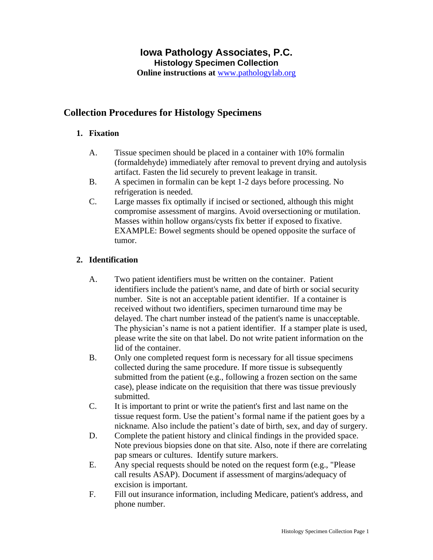# **Iowa Pathology Associates, P.C. Histology Specimen Collection**

**Online instructions at** [www.pathologylab.org](http://www.pathologylab.org/)

# **Collection Procedures for Histology Specimens**

# **1. Fixation**

- A. Tissue specimen should be placed in a container with 10% formalin (formaldehyde) immediately after removal to prevent drying and autolysis artifact. Fasten the lid securely to prevent leakage in transit.
- B. A specimen in formalin can be kept 1-2 days before processing. No refrigeration is needed.
- C. Large masses fix optimally if incised or sectioned, although this might compromise assessment of margins. Avoid oversectioning or mutilation. Masses within hollow organs/cysts fix better if exposed to fixative. EXAMPLE: Bowel segments should be opened opposite the surface of tumor.

# **2. Identification**

- A. Two patient identifiers must be written on the container. Patient identifiers include the patient's name, and date of birth or social security number. Site is not an acceptable patient identifier. If a container is received without two identifiers, specimen turnaround time may be delayed. The chart number instead of the patient's name is unacceptable. The physician's name is not a patient identifier. If a stamper plate is used, please write the site on that label. Do not write patient information on the lid of the container.
- B. Only one completed request form is necessary for all tissue specimens collected during the same procedure. If more tissue is subsequently submitted from the patient (e.g., following a frozen section on the same case), please indicate on the requisition that there was tissue previously submitted.
- C. It is important to print or write the patient's first and last name on the tissue request form. Use the patient's formal name if the patient goes by a nickname. Also include the patient's date of birth, sex, and day of surgery.
- D. Complete the patient history and clinical findings in the provided space. Note previous biopsies done on that site. Also, note if there are correlating pap smears or cultures. Identify suture markers.
- E. Any special requests should be noted on the request form (e.g., "Please call results ASAP). Document if assessment of margins/adequacy of excision is important.
- F. Fill out insurance information, including Medicare, patient's address, and phone number.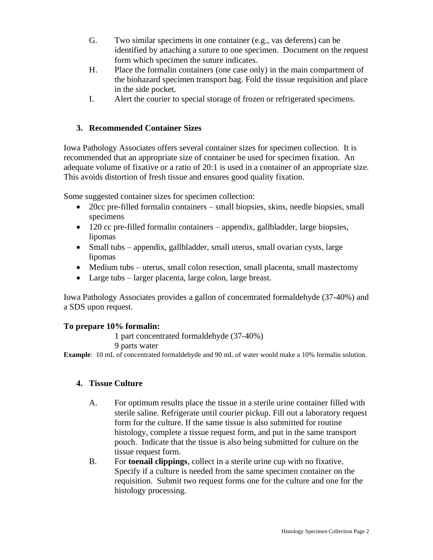- G. Two similar specimens in one container (e.g., vas deferens) can be identified by attaching a suture to one specimen. Document on the request form which specimen the suture indicates.
- H. Place the formalin containers (one case only) in the main compartment of the biohazard specimen transport bag. Fold the tissue requisition and place in the side pocket.
- I. Alert the courier to special storage of frozen or refrigerated specimens.

# **3. Recommended Container Sizes**

Iowa Pathology Associates offers several container sizes for specimen collection. It is recommended that an appropriate size of container be used for specimen fixation. An adequate volume of fixative or a ratio of 20:1 is used in a container of an appropriate size. This avoids distortion of fresh tissue and ensures good quality fixation.

Some suggested container sizes for specimen collection:

- 20cc pre-filled formalin containers small biopsies, skins, needle biopsies, small specimens
- 120 cc pre-filled formalin containers appendix, gallbladder, large biopsies, lipomas
- Small tubs appendix, gallbladder, small uterus, small ovarian cysts, large lipomas
- Medium tubs uterus, small colon resection, small placenta, small mastectomy
- Large tubs larger placenta, large colon, large breast.

Iowa Pathology Associates provides a gallon of concentrated formaldehyde (37-40%) and a SDS upon request.

# **To prepare 10% formalin:**

- 1 part concentrated formaldehyde (37-40%)
- 9 parts water

**Example**: 10 mL of concentrated formaldehyde and 90 mL of water would make a 10% formalin solution.

# **4. Tissue Culture**

- A. For optimum results place the tissue in a sterile urine container filled with sterile saline. Refrigerate until courier pickup. Fill out a laboratory request form for the culture. If the same tissue is also submitted for routine histology, complete a tissue request form, and put in the same transport pouch. Indicate that the tissue is also being submitted for culture on the tissue request form.
- B. For **toenail clippings**, collect in a sterile urine cup with no fixative. Specify if a culture is needed from the same specimen container on the requisition. Submit two request forms one for the culture and one for the histology processing.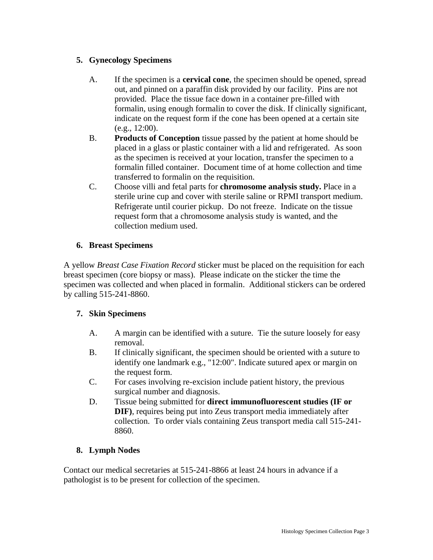# **5. Gynecology Specimens**

- A. If the specimen is a **cervical cone**, the specimen should be opened, spread out, and pinned on a paraffin disk provided by our facility. Pins are not provided. Place the tissue face down in a container pre-filled with formalin, using enough formalin to cover the disk. If clinically significant, indicate on the request form if the cone has been opened at a certain site (e.g., 12:00).
- B. **Products of Conception** tissue passed by the patient at home should be placed in a glass or plastic container with a lid and refrigerated. As soon as the specimen is received at your location, transfer the specimen to a formalin filled container. Document time of at home collection and time transferred to formalin on the requisition.
- C. Choose villi and fetal parts for **chromosome analysis study.** Place in a sterile urine cup and cover with sterile saline or RPMI transport medium. Refrigerate until courier pickup. Do not freeze. Indicate on the tissue request form that a chromosome analysis study is wanted, and the collection medium used.

# **6. Breast Specimens**

A yellow *Breast Case Fixation Record* sticker must be placed on the requisition for each breast specimen (core biopsy or mass). Please indicate on the sticker the time the specimen was collected and when placed in formalin. Additional stickers can be ordered by calling 515-241-8860.

# **7. Skin Specimens**

- A. A margin can be identified with a suture. Tie the suture loosely for easy removal.
- B. If clinically significant, the specimen should be oriented with a suture to identify one landmark e.g., "12:00". Indicate sutured apex or margin on the request form.
- C. For cases involving re-excision include patient history, the previous surgical number and diagnosis.
- D. Tissue being submitted for **direct immunofluorescent studies (IF or DIF)**, requires being put into Zeus transport media immediately after collection. To order vials containing Zeus transport media call 515-241- 8860.

# **8. Lymph Nodes**

Contact our medical secretaries at 515-241-8866 at least 24 hours in advance if a pathologist is to be present for collection of the specimen.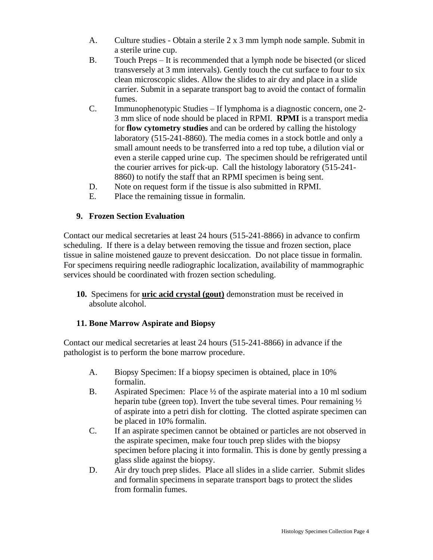- A. Culture studies Obtain a sterile 2 x 3 mm lymph node sample. Submit in a sterile urine cup.
- B. Touch Preps It is recommended that a lymph node be bisected (or sliced transversely at 3 mm intervals). Gently touch the cut surface to four to six clean microscopic slides. Allow the slides to air dry and place in a slide carrier. Submit in a separate transport bag to avoid the contact of formalin fumes.
- C. Immunophenotypic Studies If lymphoma is a diagnostic concern, one 2- 3 mm slice of node should be placed in RPMI. **RPMI** is a transport media for **flow cytometry studies** and can be ordered by calling the histology laboratory (515-241-8860). The media comes in a stock bottle and only a small amount needs to be transferred into a red top tube, a dilution vial or even a sterile capped urine cup. The specimen should be refrigerated until the courier arrives for pick-up. Call the histology laboratory (515-241- 8860) to notify the staff that an RPMI specimen is being sent.
- D. Note on request form if the tissue is also submitted in RPMI.
- E. Place the remaining tissue in formalin.

# **9. Frozen Section Evaluation**

Contact our medical secretaries at least 24 hours (515-241-8866) in advance to confirm scheduling. If there is a delay between removing the tissue and frozen section, place tissue in saline moistened gauze to prevent desiccation. Do not place tissue in formalin. For specimens requiring needle radiographic localization, availability of mammographic services should be coordinated with frozen section scheduling.

**10.** Specimens for **uric acid crystal (gout)** demonstration must be received in absolute alcohol.

# **11. Bone Marrow Aspirate and Biopsy**

Contact our medical secretaries at least 24 hours (515-241-8866) in advance if the pathologist is to perform the bone marrow procedure.

- A. Biopsy Specimen: If a biopsy specimen is obtained, place in 10% formalin.
- B. Aspirated Specimen: Place  $\frac{1}{2}$  of the aspirate material into a 10 ml sodium heparin tube (green top). Invert the tube several times. Pour remaining  $\frac{1}{2}$ of aspirate into a petri dish for clotting. The clotted aspirate specimen can be placed in 10% formalin.
- C. If an aspirate specimen cannot be obtained or particles are not observed in the aspirate specimen, make four touch prep slides with the biopsy specimen before placing it into formalin. This is done by gently pressing a glass slide against the biopsy.
- D. Air dry touch prep slides. Place all slides in a slide carrier. Submit slides and formalin specimens in separate transport bags to protect the slides from formalin fumes.